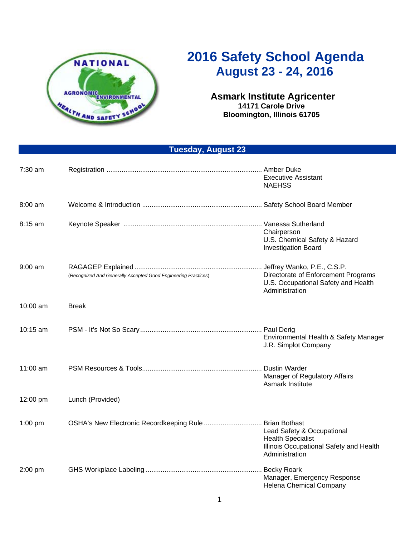

## **2016 Safety School Agenda August 23 - 24, 2016**

## **Asmark Institute Agricenter 14171 Carole Drive Bloomington, Illinois 61705**

 **Tuesday, August 23** 

| $7:30$ am |                                                                | <b>Executive Assistant</b><br><b>NAEHSS</b>                                                                                 |
|-----------|----------------------------------------------------------------|-----------------------------------------------------------------------------------------------------------------------------|
| $8:00$ am |                                                                |                                                                                                                             |
| $8:15$ am |                                                                | Chairperson<br>U.S. Chemical Safety & Hazard<br><b>Investigation Board</b>                                                  |
| $9:00$ am | (Recognized And Generally Accepted Good Engineering Practices) | Jeffrey Wanko, P.E., C.S.P.<br>Directorate of Enforcement Programs<br>U.S. Occupational Safety and Health<br>Administration |
| 10:00 am  | <b>Break</b>                                                   |                                                                                                                             |
| 10:15 am  |                                                                | Environmental Health & Safety Manager<br>J.R. Simplot Company                                                               |
| 11:00 am  |                                                                | Manager of Regulatory Affairs<br>Asmark Institute                                                                           |
| 12:00 pm  | Lunch (Provided)                                               |                                                                                                                             |
| $1:00$ pm | OSHA's New Electronic Recordkeeping Rule Brian Bothast         | Lead Safety & Occupational<br><b>Health Specialist</b><br>Illinois Occupational Safety and Health<br>Administration         |
| 2:00 pm   |                                                                | Manager, Emergency Response<br>Helena Chemical Company                                                                      |